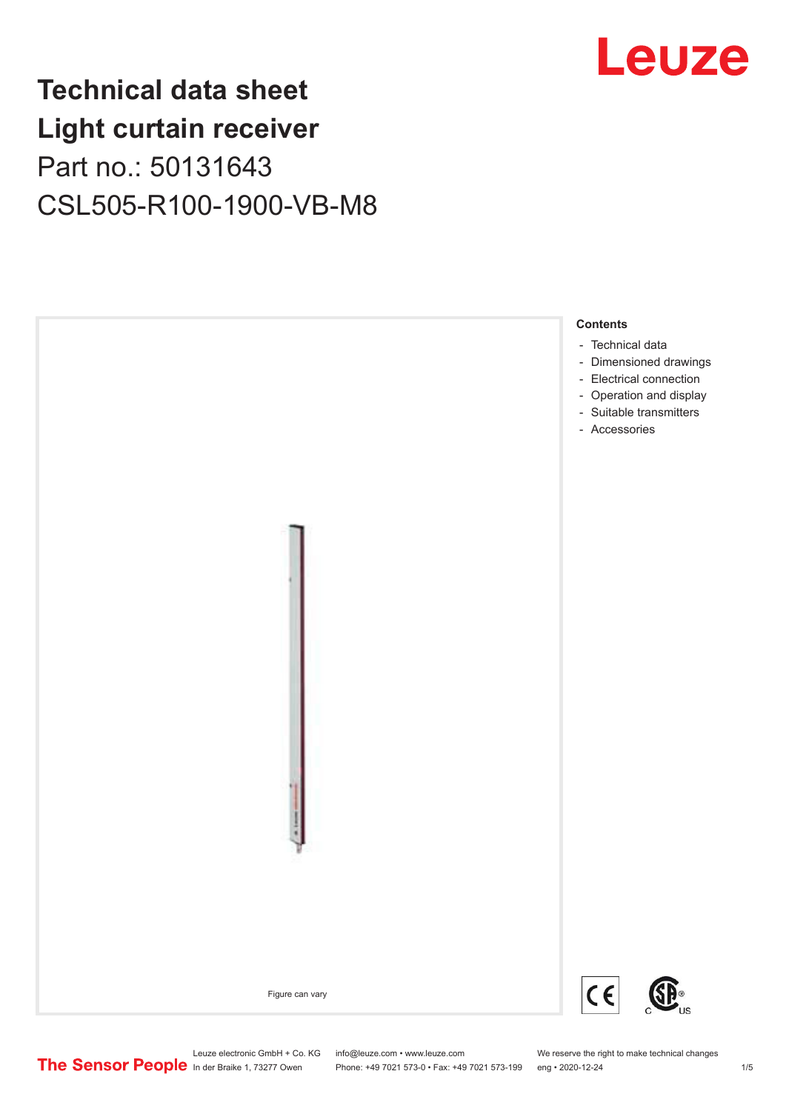## Leuze

## **Technical data sheet Light curtain receiver** Part no.: 50131643 CSL505-R100-1900-VB-M8



Leuze electronic GmbH + Co. KG info@leuze.com • www.leuze.com We reserve the right to make technical changes<br>
The Sensor People in der Braike 1, 73277 Owen Phone: +49 7021 573-0 • Fax: +49 7021 573-199 eng • 2020-12-24

Phone: +49 7021 573-0 • Fax: +49 7021 573-199 eng • 2020-12-24 1 2020-12-24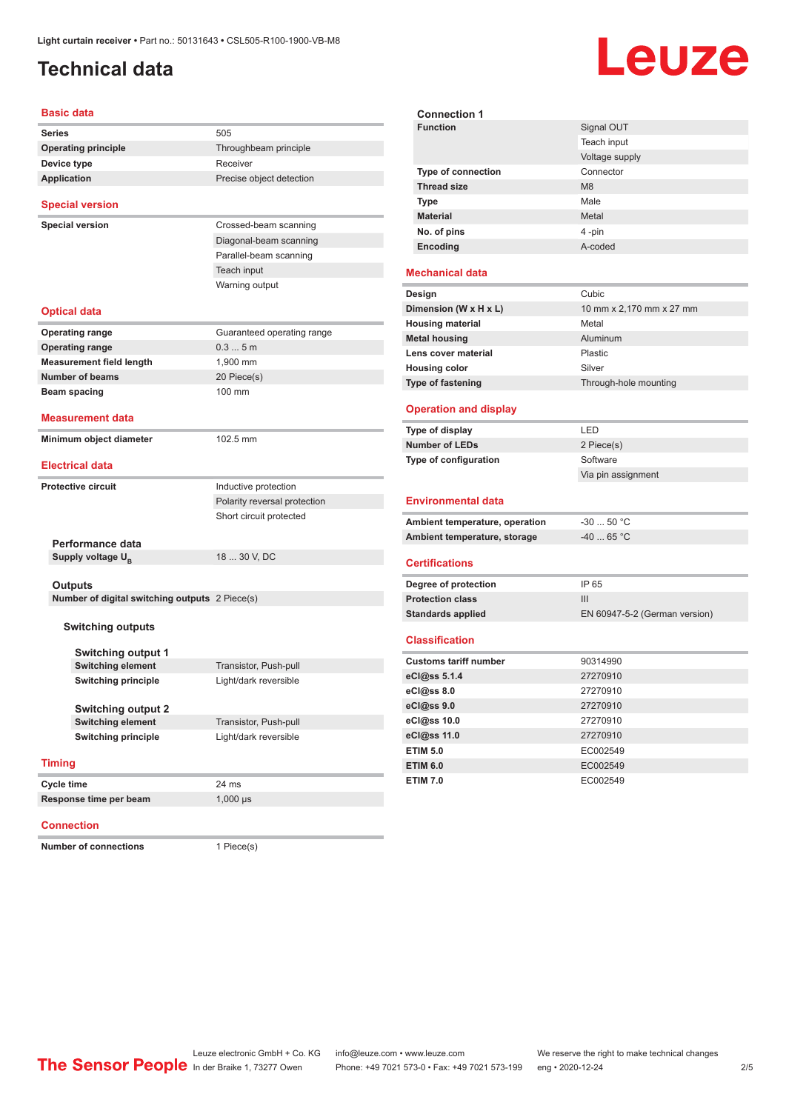### <span id="page-1-0"></span>**Technical data**

# Leuze

#### **Basic data**

| Daəit uata                                     |                              | Connection 1                   |                       |
|------------------------------------------------|------------------------------|--------------------------------|-----------------------|
| Series                                         | 505                          | <b>Function</b>                | Signal OUT            |
| <b>Operating principle</b>                     | Throughbeam principle        |                                | Teach input           |
| Device type                                    | Receiver                     |                                | Voltage supply        |
| <b>Application</b>                             | Precise object detection     | Type of connection             | Connector             |
|                                                |                              | <b>Thread size</b>             | M <sub>8</sub>        |
| <b>Special version</b>                         |                              | Type                           | Male                  |
|                                                | Crossed-beam scanning        | <b>Material</b>                | Metal                 |
| Special version                                |                              | No. of pins                    | 4 -pin                |
|                                                | Diagonal-beam scanning       | Encoding                       | A-coded               |
|                                                | Parallel-beam scanning       |                                |                       |
|                                                | Teach input                  | <b>Mechanical data</b>         |                       |
|                                                | Warning output               | Design                         | Cubic                 |
| Optical data                                   |                              | Dimension (W x H x L)          | 10 mm x 2,170 mm x 2  |
|                                                |                              | <b>Housing material</b>        | Metal                 |
| Operating range                                | Guaranteed operating range   | <b>Metal housing</b>           | Aluminum              |
| <b>Operating range</b>                         | 0.35m                        | Lens cover material            | Plastic               |
| <b>Measurement field length</b>                | 1,900 mm                     | <b>Housing color</b>           | Silver                |
| <b>Number of beams</b>                         | 20 Piece(s)                  | <b>Type of fastening</b>       | Through-hole mounting |
| Beam spacing                                   | 100 mm                       |                                |                       |
| Measurement data                               |                              | <b>Operation and display</b>   |                       |
|                                                |                              | Type of display                | LED                   |
| Minimum object diameter                        | 102.5 mm                     | <b>Number of LEDs</b>          | 2 Piece(s)            |
|                                                |                              | Type of configuration          | Software              |
| Electrical data                                |                              |                                | Via pin assignment    |
| Protective circuit                             | Inductive protection         |                                |                       |
|                                                | Polarity reversal protection | <b>Environmental data</b>      |                       |
|                                                | Short circuit protected      | Ambient temperature, operation | $-3050$ °C            |
|                                                |                              | Ambient temperature, storage   | $-4065 °C$            |
| Performance data                               |                              |                                |                       |
| Supply voltage U <sub>R</sub>                  | 18  30 V, DC                 | <b>Certifications</b>          |                       |
|                                                |                              |                                |                       |
| <b>Outputs</b>                                 |                              | Degree of protection           | IP 65                 |
| Number of digital switching outputs 2 Piece(s) |                              | <b>Protection class</b>        | Ш                     |
|                                                |                              | <b>Standards applied</b>       | EN 60947-5-2 (German  |
| <b>Switching outputs</b>                       |                              | <b>Classification</b>          |                       |
| <b>Switching output 1</b>                      |                              |                                |                       |
| <b>Switching element</b>                       | Transistor, Push-pull        | <b>Customs tariff number</b>   | 90314990              |
| <b>Switching principle</b>                     | Light/dark reversible        | eCl@ss 5.1.4                   | 27270910              |
|                                                |                              | eCl@ss 8.0                     | 27270910              |
| Switching output 2                             |                              | eCl@ss 9.0                     | 27270910              |
| <b>Switching element</b>                       | Transistor, Push-pull        | eCl@ss 10.0                    | 27270910              |
| <b>Switching principle</b>                     | Light/dark reversible        | eCl@ss 11.0                    | 27270910              |
|                                                |                              | <b>ETIM 5.0</b>                | EC002549              |
| <b>Timing</b>                                  |                              | <b>ETIM 6.0</b>                | EC002549              |
| Cycle time                                     |                              | <b>ETIM 7.0</b>                | EC002549              |
|                                                | 24 ms                        |                                |                       |
| Response time per beam                         | $1,000 \,\mu s$              |                                |                       |
|                                                |                              |                                |                       |

#### **Connection 1 Signal OUT** Teach input Voltage supply **Type of connection Thread size** M8 **Type Male Material** Metal **No. of pins** 4 -pin **Encoding** A-coded **Mechanical data Design Cubic Dimension (W x H x L)** 10 mm x 2,170 mm x 27 mm **Housing material Metal** Metal **Aluminum** Aluminum **Lease cover material Lease Cover material** Plastic **Housing color** Color Silver

#### **Operation and display**

| Type of display       | I FD               |
|-----------------------|--------------------|
| <b>Number of LEDs</b> | 2 Piece(s)         |
| Type of configuration | Software           |
|                       | Via pin assignment |

#### **Environmental data**

| Ambient temperature, operation | -30  50 °C             |
|--------------------------------|------------------------|
| Ambient temperature, storage   | $-40$ 65 °C $^{\circ}$ |

#### **Certifications**

| Degree of protection     | IP 65                         |
|--------------------------|-------------------------------|
| <b>Protection class</b>  | Ш                             |
| <b>Standards applied</b> | EN 60947-5-2 (German version) |

#### **Classification**

| <b>Customs tariff number</b> | 90314990 |
|------------------------------|----------|
| eCl@ss 5.1.4                 | 27270910 |
| $eC$ <sub>0</sub> $e$ ss 8.0 | 27270910 |
| eCl@ss 9.0                   | 27270910 |
| eCl@ss 10.0                  | 27270910 |
| eCl@ss 11.0                  | 27270910 |
| <b>ETIM 5.0</b>              | EC002549 |
| <b>ETIM 6.0</b>              | EC002549 |
| <b>ETIM 7.0</b>              | EC002549 |
|                              |          |

#### **Number of connections** 1 Piece(s)

**Connection**

Leuze electronic GmbH + Co. KG info@leuze.com • www.leuze.com We reserve the right to make technical changes<br> **The Sensor People** in der Braike 1, 73277 Owen Phone: +49 7021 573-1 +49 7021 573-199 eng • 2020-12-24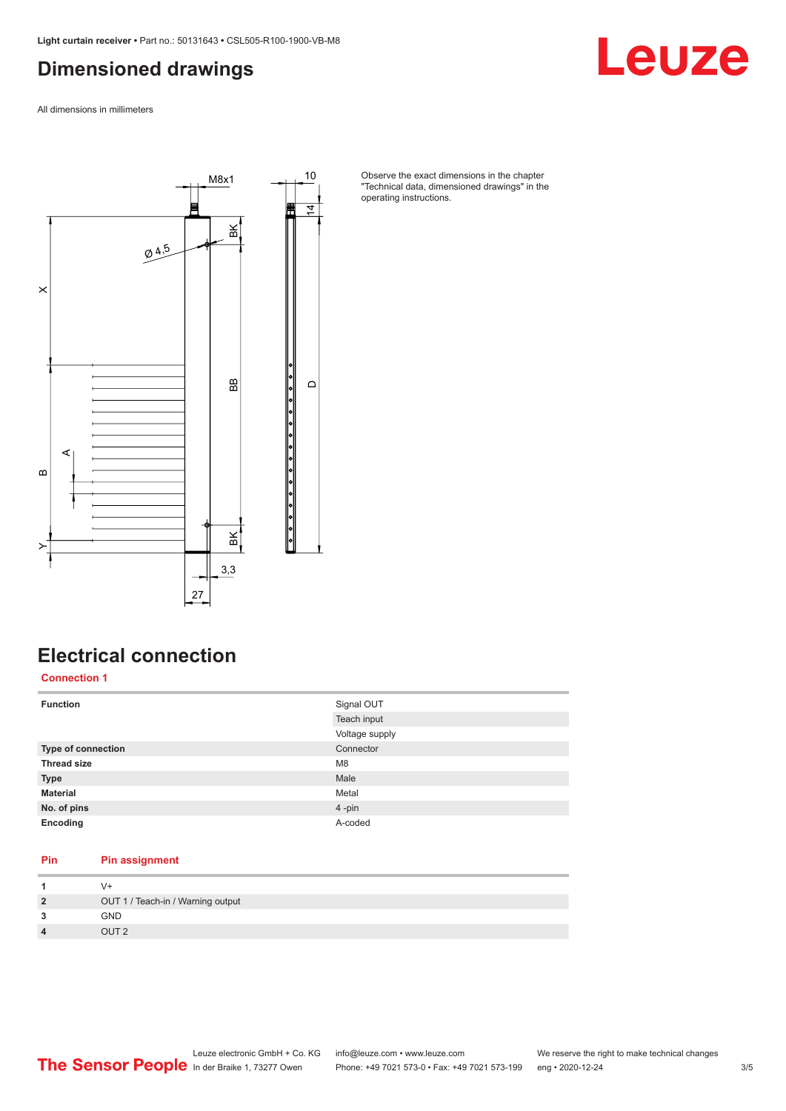### <span id="page-2-0"></span>**Dimensioned drawings**

Leuze

All dimensions in millimeters



Observe the exact dimensions in the chapter "Technical data, dimensioned drawings" in the operating instructions.

### **Electrical connection**

**Connection 1**

| <b>Function</b>           | Signal OUT     |
|---------------------------|----------------|
|                           | Teach input    |
|                           | Voltage supply |
| <b>Type of connection</b> | Connector      |
| <b>Thread size</b>        | M <sub>8</sub> |
| <b>Type</b>               | Male           |
| <b>Material</b>           | Metal          |
| No. of pins               | 4-pin          |
| Encoding                  | A-coded        |

#### **Pin Pin assignment**

|                         | $V +$                             |
|-------------------------|-----------------------------------|
| $\overline{2}$          | OUT 1 / Teach-in / Warning output |
| 3                       | <b>GND</b>                        |
| $\overline{\mathbf{4}}$ | OUT <sub>2</sub>                  |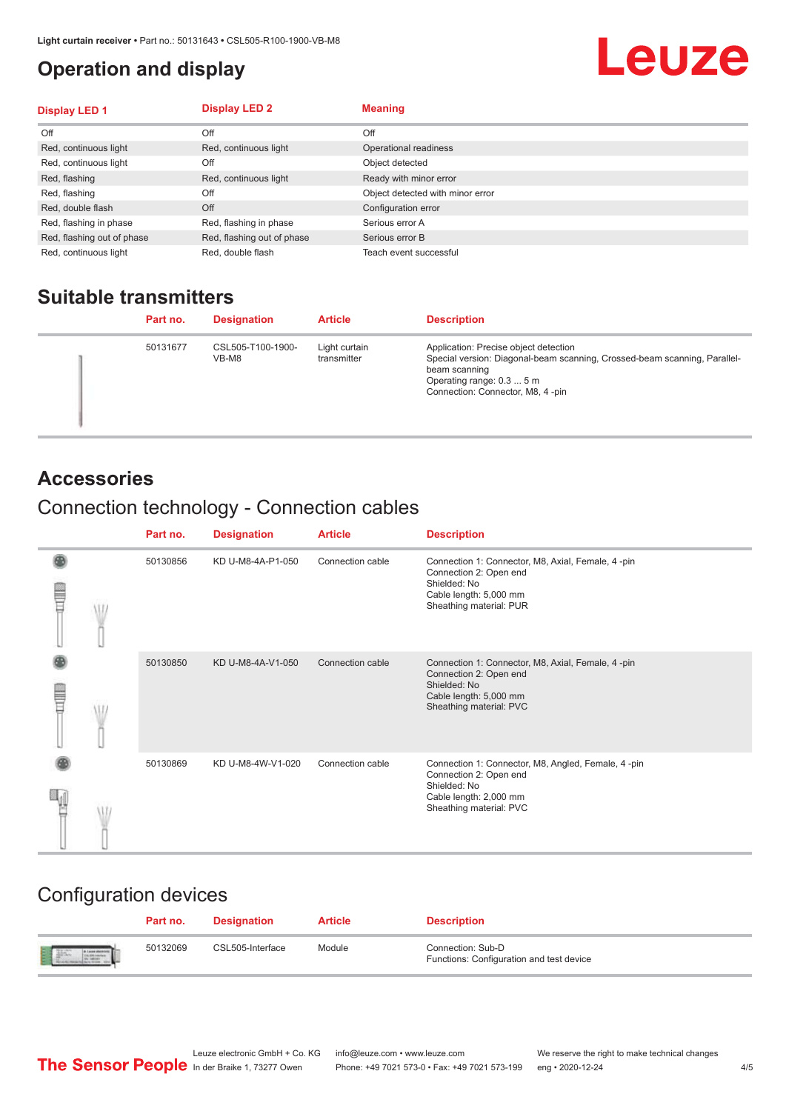### <span id="page-3-0"></span>**Operation and display**

## Leuze

| <b>Display LED 1</b>       | <b>Display LED 2</b>       | <b>Meaning</b>                   |
|----------------------------|----------------------------|----------------------------------|
| Off                        | Off                        | Off                              |
| Red, continuous light      | Red, continuous light      | Operational readiness            |
| Red, continuous light      | Off                        | Object detected                  |
| Red, flashing              | Red, continuous light      | Ready with minor error           |
| Red, flashing              | Off                        | Object detected with minor error |
| Red, double flash          | Off                        | Configuration error              |
| Red, flashing in phase     | Red, flashing in phase     | Serious error A                  |
| Red, flashing out of phase | Red, flashing out of phase | Serious error B                  |
| Red, continuous light      | Red, double flash          | Teach event successful           |

#### **Suitable transmitters**

| Part no. | <b>Designation</b>         | <b>Article</b>               | <b>Description</b>                                                                                                                                                                                   |
|----------|----------------------------|------------------------------|------------------------------------------------------------------------------------------------------------------------------------------------------------------------------------------------------|
| 50131677 | CSL505-T100-1900-<br>VB-M8 | Light curtain<br>transmitter | Application: Precise object detection<br>Special version: Diagonal-beam scanning, Crossed-beam scanning, Parallel-<br>beam scanning<br>Operating range: 0.3  5 m<br>Connection: Connector, M8, 4-pin |

#### **Accessories**

### Connection technology - Connection cables

|   | Part no. | <b>Designation</b> | <b>Article</b>   | <b>Description</b>                                                                                                                                |
|---|----------|--------------------|------------------|---------------------------------------------------------------------------------------------------------------------------------------------------|
| Ī | 50130856 | KD U-M8-4A-P1-050  | Connection cable | Connection 1: Connector, M8, Axial, Female, 4-pin<br>Connection 2: Open end<br>Shielded: No<br>Cable length: 5,000 mm<br>Sheathing material: PUR  |
|   | 50130850 | KD U-M8-4A-V1-050  | Connection cable | Connection 1: Connector, M8, Axial, Female, 4 -pin<br>Connection 2: Open end<br>Shielded: No<br>Cable length: 5,000 mm<br>Sheathing material: PVC |
|   | 50130869 | KD U-M8-4W-V1-020  | Connection cable | Connection 1: Connector, M8, Angled, Female, 4-pin<br>Connection 2: Open end<br>Shielded: No<br>Cable length: 2,000 mm<br>Sheathing material: PVC |

### Configuration devices

|                           | Part no. | <b>Designation</b> | <b>Article</b> | <b>Description</b>                                            |
|---------------------------|----------|--------------------|----------------|---------------------------------------------------------------|
| the product of the second | 50132069 | CSL505-Interface   | Module         | Connection: Sub-D<br>Functions: Configuration and test device |